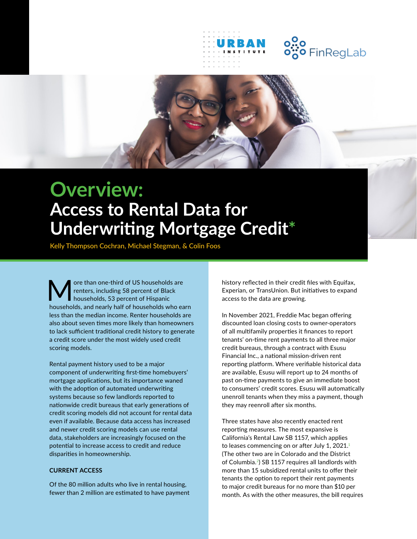

# **Overview: Access to Rental Data for Underwriting Mortgage Credit\***

Kelly Thompson Cochran, Michael Stegman, & Colin Foos

More than one-third of US households are<br>households, 53 percent of Black<br>households and negative helf of households who can renters, including 58 percent of Black households, 53 percent of Hispanic households, and nearly half of households who earn less than the median income. Renter households are also about seven times more likely than homeowners to lack sufficient traditional credit history to generate a credit score under the most widely used credit scoring models.

Rental payment history used to be a major component of underwriting first-time homebuyers' mortgage applications, but its importance waned with the adoption of automated underwriting systems because so few landlords reported to nationwide credit bureaus that early generations of credit scoring models did not account for rental data even if available. Because data access has increased and newer credit scoring models can use rental data, stakeholders are increasingly focused on the potential to increase access to credit and reduce disparities in homeownership.

#### **CURRENT ACCESS**

Of the 80 million adults who live in rental housing, fewer than 2 million are estimated to have payment history reflected in their credit files with Equifax, Experian, or TransUnion. But initiatives to expand access to the data are growing.

In November 2021, Freddie Mac began offering discounted loan closing costs to owner-operators of all multifamily properties it finances to report tenants' on-time rent payments to all three major credit bureaus, through a contract with Esusu Financial Inc., a national mission-driven rent reporting platform. Where verifiable historical data are available, Esusu will report up to 24 months of past on-time payments to give an immediate boost to consumers' credit scores. Esusu will automatically unenroll tenants when they miss a payment, though they may reenroll after six months.

Three states have also recently enacted rent reporting measures. The most expansive is California's Rental Law SB 1157, which applies to leases commencing on or after July 1, 2021.<sup>1</sup> (The other two are in Colorado and the District of Columbia.2) SB 1157 requires all landlords with more than 15 subsidized rental units to offer their tenants the option to report their rent payments to major credit bureaus for no more than \$10 per month. As with the other measures, the bill requires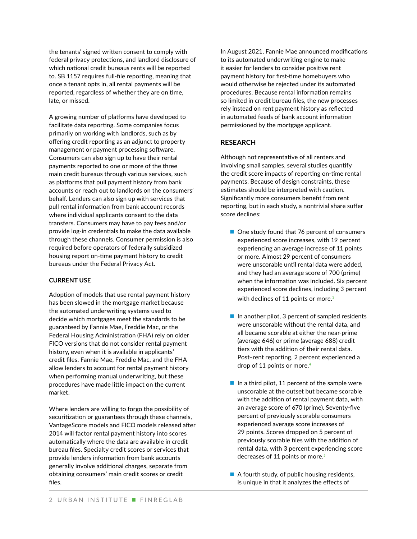the tenants' signed written consent to comply with federal privacy protections, and landlord disclosure of which national credit bureaus rents will be reported to. SB 1157 requires full-file reporting, meaning that once a tenant opts in, all rental payments will be reported, regardless of whether they are on time, late, or missed.

A growing number of platforms have developed to facilitate data reporting. Some companies focus primarily on working with landlords, such as by offering credit reporting as an adjunct to property management or payment processing software. Consumers can also sign up to have their rental payments reported to one or more of the three main credit bureaus through various services, such as platforms that pull payment history from bank accounts or reach out to landlords on the consumers' behalf. Lenders can also sign up with services that pull rental information from bank account records where individual applicants consent to the data transfers. Consumers may have to pay fees and/or provide log-in credentials to make the data available through these channels. Consumer permission is also required before operators of federally subsidized housing report on-time payment history to credit bureaus under the Federal Privacy Act.

### **CURRENT USE**

Adoption of models that use rental payment history has been slowed in the mortgage market because the automated underwriting systems used to decide which mortgages meet the standards to be guaranteed by Fannie Mae, Freddie Mac, or the Federal Housing Administration (FHA) rely on older FICO versions that do not consider rental payment history, even when it is available in applicants' credit files. Fannie Mae, Freddie Mac, and the FHA allow lenders to account for rental payment history when performing manual underwriting, but these procedures have made little impact on the current market.

Where lenders are willing to forgo the possibility of securitization or guarantees through these channels, VantageScore models and FICO models released after 2014 will factor rental payment history into scores automatically where the data are available in credit bureau files. Specialty credit scores or services that provide lenders information from bank accounts generally involve additional charges, separate from obtaining consumers' main credit scores or credit files.

In August 2021, Fannie Mae announced modifications to its automated underwriting engine to make it easier for lenders to consider positive rent payment history for first-time homebuyers who would otherwise be rejected under its automated procedures. Because rental information remains so limited in credit bureau files, the new processes rely instead on rent payment history as reflected in automated feeds of bank account information permissioned by the mortgage applicant.

## **RESEARCH**

Although not representative of all renters and involving small samples, several studies quantify the credit score impacts of reporting on-time rental payments. Because of design constraints, these estimates should be interpreted with caution. Significantly more consumers benefit from rent reporting, but in each study, a nontrivial share suffer score declines:

- One study found that 76 percent of consumers experienced score increases, with 19 percent experiencing an average increase of 11 points or more. Almost 29 percent of consumers were unscorable until rental data were added, and they had an average score of 700 (prime) when the information was included. Six percent experienced score declines, including 3 percent with declines of 11 points or more.<sup>3</sup>
- $\blacksquare$  In another pilot, 3 percent of sampled residents were unscorable without the rental data, and all became scorable at either the near-prime (average 646) or prime (average 688) credit tiers with the addition of their rental data. Post–rent reporting, 2 percent experienced a drop of 11 points or more.<sup>4</sup>
- In a third pilot, 11 percent of the sample were unscorable at the outset but became scorable with the addition of rental payment data, with an average score of 670 (prime). Seventy-five percent of previously scorable consumers experienced average score increases of 29 points. Scores dropped on 5 percent of previously scorable files with the addition of rental data, with 3 percent experiencing score decreases of 11 points or more.<sup>5</sup>
- $\blacksquare$  A fourth study, of public housing residents, is unique in that it analyzes the effects of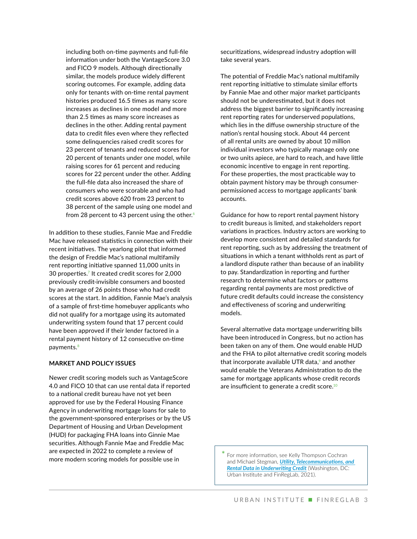including both on-time payments and full-file information under both the VantageScore 3.0 and FICO 9 models. Although directionally similar, the models produce widely different scoring outcomes. For example, adding data only for tenants with on-time rental payment histories produced 16.5 times as many score increases as declines in one model and more than 2.5 times as many score increases as declines in the other. Adding rental payment data to credit files even where they reflected some delinquencies raised credit scores for 23 percent of tenants and reduced scores for 20 percent of tenants under one model, while raising scores for 61 percent and reducing scores for 22 percent under the other. Adding the full-file data also increased the share of consumers who were scorable and who had credit scores above 620 from 23 percent to 38 percent of the sample using one model and from 28 percent to 43 percent using the other.<sup>6</sup>

In addition to these studies, Fannie Mae and Freddie Mac have released statistics in connection with their recent initiatives. The yearlong pilot that informed the design of Freddie Mac's national multifamily rent reporting initiative spanned 11,000 units in 30 properties.<sup>7</sup> It created credit scores for 2,000 previously credit-invisible consumers and boosted by an average of 26 points those who had credit scores at the start. In addition, Fannie Mae's analysis of a sample of first-time homebuyer applicants who did not qualify for a mortgage using its automated underwriting system found that 17 percent could have been approved if their lender factored in a rental payment history of 12 consecutive on-time payments.<sup>8</sup>

#### **MARKET AND POLICY ISSUES**

Newer credit scoring models such as VantageScore 4.0 and FICO 10 that can use rental data if reported to a national credit bureau have not yet been approved for use by the Federal Housing Finance Agency in underwriting mortgage loans for sale to the government-sponsored enterprises or by the US Department of Housing and Urban Development (HUD) for packaging FHA loans into Ginnie Mae securities. Although Fannie Mae and Freddie Mac are expected in 2022 to complete a review of more modern scoring models for possible use in

securitizations, widespread industry adoption will take several years.

The potential of Freddie Mac's national multifamily rent reporting initiative to stimulate similar efforts by Fannie Mae and other major market participants should not be underestimated, but it does not address the biggest barrier to significantly increasing rent reporting rates for underserved populations, which lies in the diffuse ownership structure of the nation's rental housing stock. About 44 percent of all rental units are owned by about 10 million individual investors who typically manage only one or two units apiece, are hard to reach, and have little economic incentive to engage in rent reporting. For these properties, the most practicable way to obtain payment history may be through consumerpermissioned access to mortgage applicants' bank accounts.

Guidance for how to report rental payment history to credit bureaus is limited, and stakeholders report variations in practices. Industry actors are working to develop more consistent and detailed standards for rent reporting, such as by addressing the treatment of situations in which a tenant withholds rent as part of a landlord dispute rather than because of an inability to pay. Standardization in reporting and further research to determine what factors or patterns regarding rental payments are most predictive of future credit defaults could increase the consistency and effectiveness of scoring and underwriting models.

Several alternative data mortgage underwriting bills have been introduced in Congress, but no action has been taken on any of them. One would enable HUD and the FHA to pilot alternative credit scoring models that incorporate available UTR data, $9$  and another would enable the Veterans Administration to do the same for mortgage applicants whose credit records are insufficient to generate a credit score.<sup>10</sup>

**\*** For more information, see Kelly Thompson Cochran and Michael Stegman, *[Utility, Telecommunications, and](https://www.urban.org/sites/default/files/publication/105282/utility-telecommunications-and-rental-data-in-underwriting-credit_1.pdf)  [Rental Data in Underwriting Credit](https://www.urban.org/sites/default/files/publication/105282/utility-telecommunications-and-rental-data-in-underwriting-credit_1.pdf)* (Washington, DC: Urban Institute and FinRegLab, 2021).